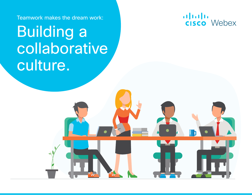Teamwork makes the dream work:

### Building a collaborative culture.

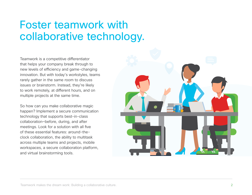### Foster teamwork with collaborative technology.

Teamwork is a competitive differentiator that helps your company break through to new levels of efficiency and game-changing innovation. But with today's workstyles, teams rarely gather in the same room to discuss issues or brainstorm. Instead, they're likely to work remotely, at different hours, and on multiple projects at the same time.

So how can you make collaborative magic happen? Implement a secure communication technology that supports best-in-class collaboration—before, during, and after meetings. Look for a solution with all five of these essential features: around-theclock collaboration, the ability to multitask across multiple teams and projects, mobile workspaces, a secure collaboration platform, and virtual brainstorming tools.

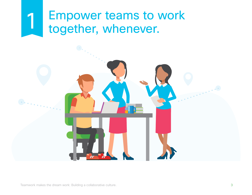## Empower teams to work<br>together, whenever.

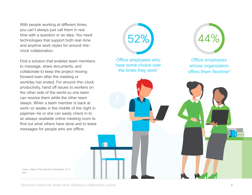With people working at different times, you can't always just call them in real time with a question or an idea. You need technologies that support both real-time and anytime work styles for around-theclock collaboration.

Find a solution that enables team members to message, share documents, and collaborate to keep the project moving forward even after the meeting or workday has ended. For around-the-clock productivity, hand off issues to workers on the other side of the world so one team can resolve them while the other team sleeps. When a team member is back at work—or awake in the middle of the night in pajamas—he or she can easily check in to an always-available online meeting room to find out what others have done and to leave messages for people who are offline.

Office employees who have some choice over the times they work $1$ 



Office employees whose organization offers them flextime2



Teamwork makes the dream work: Building a collaborative culture. 4

2 [Ibid](http://news.gallup.com/reports/199961/state-american-workplace-report-2017.aspx#aspnetForm).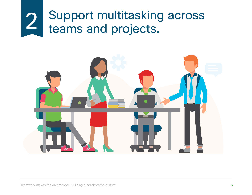



Teamwork makes the dream work: Building a collaborative culture. 5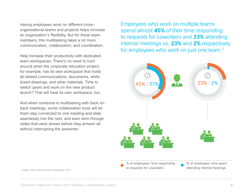Having employees work on different crossorganizational teams and projects helps increase an organization's flexibility. But for those team members, this multitasking takes a lot more communication, collaboration, and coordination.

Help increase their productivity with dedicated team workspaces. There's no need to hunt around when the corporate relocation project, for example, has its own workspace that holds all related communications, documents, white board drawings, and other materials. Time to switch gears and work on the new product launch? That will have its own workspace, too.

And when someone is multitasking with back-toback meetings, some collaboration tools will let them stay connected to one meeting and slide seamlessly into the next, and even skim through slides that were shown before they arrived—all without interrupting the presenter.

Employees who work on multiple teams spend almost **45%** of their time responding to requests for coworkers and **33%** attending internal meetings vs. **23%** and **2%** respectively for employees who work on just one team.<sup>3</sup>



<sup>3</sup> Gallup, [State of the American Workplace](http://news.gallup.com/reports/199961/state-american-workplace-report-2017.aspx#aspnetForm), 2017.

to requests for coworkers

attending internal meetings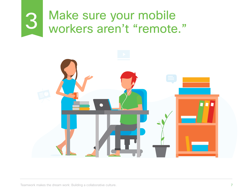



Teamwork makes the dream work: Building a collaborative culture. The matrix of the matrix of the matrix of the matrix of the matrix of the matrix of the matrix of the matrix of the matrix of the matrix of the matrix of the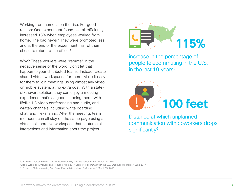Working from home is on the rise. For good reason: One experiment found overall efficiency increased 13% when employees worked from home. The bad news? They were promoted less, and at the end of the experiment, half of them chose to return to the office.4

Why? These workers were "remote" in the negative sense of the word. Don't let that happen to your distributed teams. Instead, create shared virtual workspaces for them. Make it easy for them to join meetings using almost any video or mobile system, at no extra cost. With a stateof-the-art solution, they can enjoy a meeting experience that's as good as being there, with lifelike HD video conferencing and audio, and written channels including white boarding, chat, and file-sharing. After the meeting, team members can all stay on the same page using a virtual collaborative workspace that captures all interactions and information about the project.



increase in the percentage of people telecommuting in the U.S. in the last **10** years<sup>5</sup>



Distance at which unplanned communication with coworkers drops significantly<sup>6</sup>

[4U.S. News, "Telecommuting Can Boost Productivity and Job Performance," March 15, 2013.](https://www.usnews.com/opinion/articles/2013/03/15/telecommuting-can-boost-productivity-and-job-performance) [5Global Workplace Analytics and FlexJobs, "The 2017 State of Telecommuting in the U.S. Employee Workforce," June 2017.](https://www.flexjobs.com/2017-State-of-Telecommuting-US/) [6U.S. News, "Telecommuting Can Boost Productivity and Job Performance," March 15, 2013.](https://www.usnews.com/opinion/articles/2013/03/15/telecommuting-can-boost-productivity-and-job-performance)

Teamwork makes the dream work: Building a collaborative culture. 8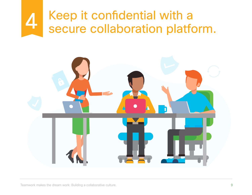



Teamwork makes the dream work: Building a collaborative culture. 9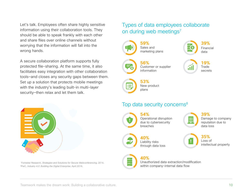Let's talk. Employees often share highly sensitive information using their collaboration tools. They should be able to speak frankly with each other and share files over online channels without worrying that the information will fall into the wrong hands.

A secure collaboration platform supports fully protected file-sharing. At the same time, it also facilitates easy integration with other collaboration tools—and closes any security gaps between them. Set up a solution that protects mobile meetings with the industry's leading built-in multi-layer security—then relax and let them talk.



7Forrester Research, [Strategies and Solutions for Secure Webconferencin](https://www.brothercloud.com/pdf/Forrester_study_secure_web_conferencing.pdf)g, 2014. 8PwC, [Industry 4.0: Building the Digital Enterprise,](https://www.pwc.com/gx/en/industries/industries-4.0/landing-page/industry-4.0-building-your-digital-enterprise-april-2016.pdf) April 2016.

#### Types of data employees collaborate on during web meetings<sup>7</sup>



#### Top data security concerns<sup>8</sup>

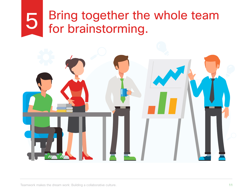# Bring together the whole team<br>for brainstorming.

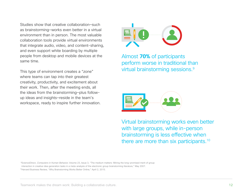Studies show that creative collaboration—such as brainstorming—works even better in a virtual environment than in person. The most valuable collaboration tools provide virtual environments that integrate audio, video, and content-sharing, and even support white boarding by multiple people from desktop and mobile devices at the same time.

This type of environment creates a "zone" where teams can tap into their greatest creativity, productivity, and excitement about their work. Then, after the meeting ends, all the ideas from the brainstorming—plus followup ideas and insights—reside in the team's workspace, ready to inspire further innovation.

Almost **70%** of participants perform worse in traditional than virtual brainstorming sessions.9



Virtual brainstorming works even better with large groups, while in-person brainstorming is less effective when there are more than six participants.10

<sup>9</sup>ScienceDirect, Computers in Human Behavior, Volume 23, Issue 3, "The medium matters: Mining the long-promised merit of group [interaction in creative idea generation tasks in a meta-analysis of the electronic group brainstorming literature," May 2007.](http://www.sciencedirect.com/science/article/pii/S0747563205000506) <sup>10</sup>[Harvard Business Review, "Why Brainstorming Works Better Online," April 2, 2015.](https://hbr.org/2015/04/why-brainstorming-works-better-online)